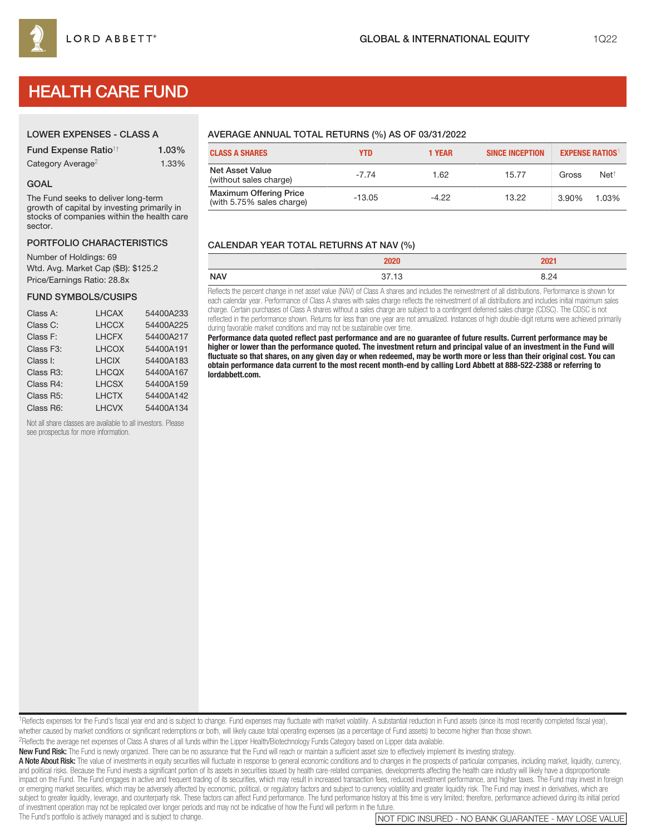# HEALTH CARE FUND

| <b>Fund Expense Ratio<sup>1†</sup></b> | 1.03% |
|----------------------------------------|-------|
| Category Average <sup>2</sup>          | 1.33% |

## GOAL

The Fund seeks to deliver long-term growth of capital by investing primarily in stocks of companies within the health care sector.

# PORTFOLIO CHARACTERISTICS

Number of Holdings: 69 Wtd. Avg. Market Cap (\$B): \$125.2 Price/Earnings Ratio: 28.8x

# FUND SYMBOLS/CUSIPS

| Class A:               | <b>LHCAX</b> | 54400A233 |
|------------------------|--------------|-----------|
| Class C:               | <b>LHCCX</b> | 54400A225 |
| Class F:               | <b>LHCFX</b> | 54400A217 |
| Class F <sub>3</sub> : | <b>LHCOX</b> | 54400A191 |
| Class I:               | <b>LHCIX</b> | 54400A183 |
| Class R3:              | <b>LHCQX</b> | 54400A167 |
| Class R4:              | <b>LHCSX</b> | 54400A159 |
| Class R5:              | <b>LHCTX</b> | 54400A142 |
| Class R6:              | <b>LHCVX</b> | 54400A134 |

Not all share classes are available to all investors. Please see prospectus for more information.

# AVERAGE ANNUAL TOTAL RETURNS (%) AS OF 03/31/2022

| <b>CLASS A SHARES</b>                                      | YTD      | 1 YEAR  | <b>SINCE INCEPTION</b> | <b>EXPENSE RATIOS</b> |                 |
|------------------------------------------------------------|----------|---------|------------------------|-----------------------|-----------------|
| <b>Net Asset Value</b><br>(without sales charge)           | $-7.74$  | 1.62    | 15.77                  | Gross                 | $Net^{\dagger}$ |
| <b>Maximum Offering Price</b><br>(with 5.75% sales charge) | $-13.05$ | $-4.22$ | 13.22                  | 3.90%                 | 1.03%           |

# CALENDAR YEAR TOTAL RETURNS AT NAV (%)

| <b>NAV</b> | $\cap$ .<br>-- |
|------------|----------------|

Reflects the percent change in net asset value (NAV) of Class A shares and includes the reinvestment of all distributions. Performance is shown for each calendar year. Performance of Class A shares with sales charge reflects the reinvestment of all distributions and includes initial maximum sales charge. Certain purchases of Class A shares without a sales charge are subject to a contingent deferred sales charge (CDSC). The CDSC is not reflected in the performance shown. Returns for less than one year are not annualized. Instances of high double-digit returns were achieved primarily during favorable market conditions and may not be sustainable over time.

**Performance data quoted reflect past performance and are no guarantee of future results. Current performance may be higher or lower than the performance quoted. The investment return and principal value of an investment in the Fund will fluctuate so that shares, on any given day or when redeemed, may be worth more or less than their original cost. You can obtain performance data current to the most recent month-end by calling Lord Abbett at 888-522-2388 or referring to lordabbett.com.**

<sup>1</sup>Reflects expenses for the Fund's fiscal year end and is subject to change. Fund expenses may fluctuate with market volatility. A substantial reduction in Fund assets (since its most recently completed fiscal year), whether caused by market conditions or significant redemptions or both, will likely cause total operating expenses (as a percentage of Fund assets) to become higher than those shown.

2Reflects the average net expenses of Class A shares of all funds within the Lipper Health/Biotechnology Funds Category based on Lipper data available.

New Fund Risk: The Fund is newly organized. There can be no assurance that the Fund will reach or maintain a sufficient asset size to effectively implement its investing strategy.

A Note About Risk: The value of investments in equity securities will fluctuate in response to general economic conditions and to changes in the prospects of particular companies, including market, liquidity, currency, and political risks. Because the Fund invests a significant portion of its assets in securities issued by health care-related companies, developments affecting the health care industry will likely have a disproportionate impact on the Fund. The Fund engages in active and frequent trading of its securities, which may result in increased transaction fees, reduced investment performance, and higher taxes. The Fund may invest in foreign or emerging market securities, which may be adversely affected by economic, political, or regulatory factors and subject to currency volatility and greater liquidity risk. The Fund may invest in derivatives, which are subject to greater liquidity, leverage, and counterparty risk. These factors can affect Fund performance. The fund performance history at this time is very limited; therefore, performance achieved during its initial period of investment operation may not be replicated over longer periods and may not be indicative of how the Fund will perform in the future.